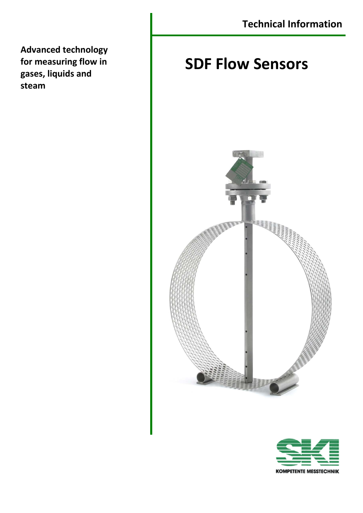**Advanced technology for measuring flow in gases, liquids and steam**

# **SDF Flow Sensors**



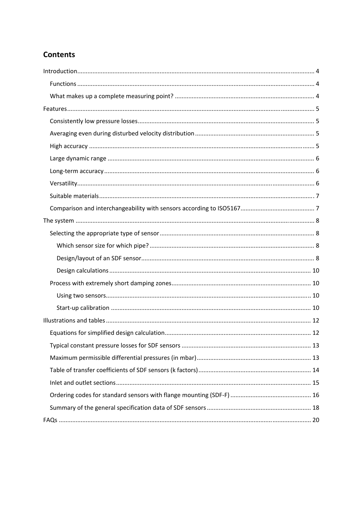## **Contents**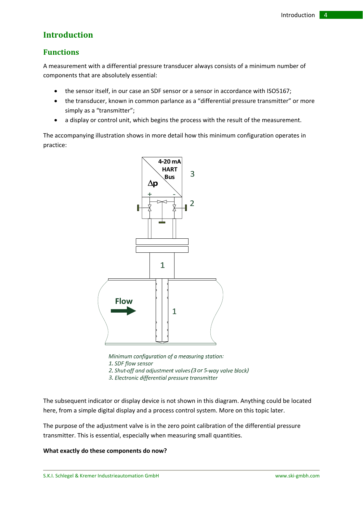## **Introduction**

### **Functions**

A measurement with a differential pressure transducer always consists of a minimum number of components that are absolutely essential:

- the sensor itself, in our case an SDF sensor or a sensor in accordance with ISO5167;
- the transducer, known in common parlance as a "differential pressure transmitter" or more simply as a "transmitter";
- a display or control unit, which begins the process with the result of the measurement.

The accompanying illustration shows in more detail how this minimum configuration operates in practice:



Minimum configuration of a measuring station: 1. SDF flow sensor

2. Shut-off and adjustment valves (3 or 5-way valve block)

3. Electronic differential pressure transmitter

The subsequent indicator or display device is not shown in this diagram. Anything could be located here, from a simple digital display and a process control system. More on this topic later.

The purpose of the adjustment valve is in the zero point calibration of the differential pressure transmitter. This is essential, especially when measuring small quantities.

#### **What exactly do these components do now?**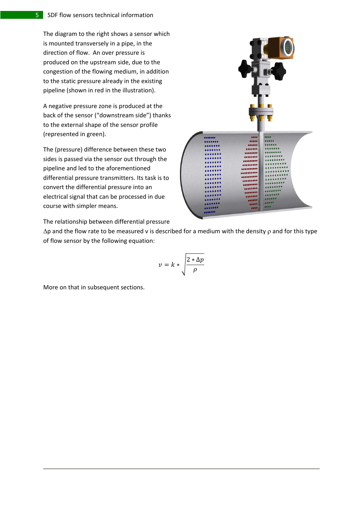The diagram to the right shows a sensor which is mounted transversely in a pipe, in the direction of flow. An over pressure is produced on the upstream side, due to the congestion of the flowing medium, in addition to the static pressure already in the existing pipeline (shown in red in the illustration).

A negative pressure zone is produced at the back of the sensor ("downstream side") thanks to the external shape of the sensor profile (represented in green).

The (pressure) difference between these two sides is passed via the sensor out through the pipeline and led to the aforementioned differential pressure transmitters. Its task is to convert the differential pressure into an electrical signal that can be processed in due course with simpler means.

...... ....... ....... ........ ..... .....

The relationship between differential pressure

 $Δp$  and the flow rate to be measured v is described for a medium with the density  $ρ$  and for this type of flow sensor by the following equation:

$$
v = k * \sqrt{\frac{2 * \Delta p}{\rho}}
$$

More on that in subsequent sections.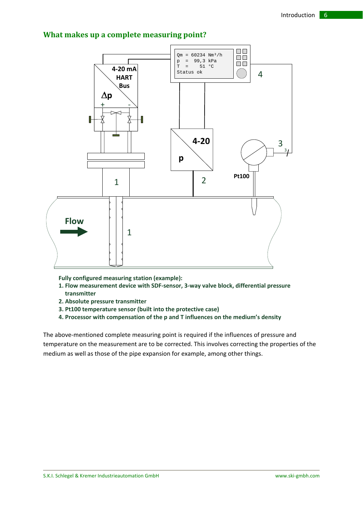## **What makes up a complete measuring point?**



**Fully configured measuring station (example):**

- **1. Flow measurement device with SDF‐sensor, 3‐way valve block, differential pressure transmitter**
- **2. Absolute pressure transmitter**
- **3. Pt100 temperature sensor (built into the protective case)**
- **4. Processor with compensation of the p and T influences on the medium's density**

The above-mentioned complete measuring point is required if the influences of pressure and temperature on the measurement are to be corrected. This involves correcting the properties of the medium as well as those of the pipe expansion for example, among other things.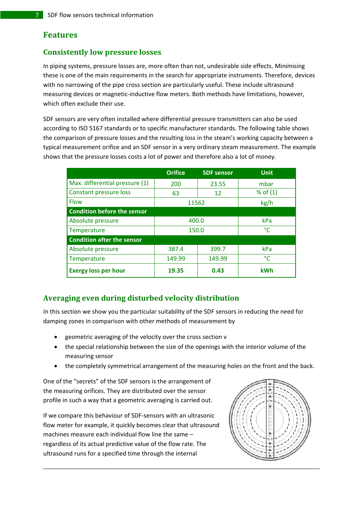## **Features**

### **Consistently low pressure losses**

In piping systems, pressure losses are, more often than not, undesirable side effects. Minimising these is one of the main requirements in the search for appropriate instruments. Therefore, devices with no narrowing of the pipe cross section are particularly useful. These include ultrasound measuring devices or magnetic‐inductive flow meters. Both methods have limitations, however, which often exclude their use.

SDF sensors are very often installed where differential pressure transmitters can also be used according to ISO 5167 standards or to specific manufacturer standards. The following table shows the comparison of pressure losses and the resulting loss in the steam's working capacity between a typical measurement orifice and an SDF sensor in a very ordinary steam measurement. The example shows that the pressure losses costs a lot of power and therefore also a lot of money.

|                                    | <b>Orifice</b> | <b>SDF</b> sensor | <b>Unit</b> |
|------------------------------------|----------------|-------------------|-------------|
| Max. differential pressure (1)     | 200            | 23.55             | mbar        |
| Constant pressure loss             | 63             | 12                | % of $(1)$  |
| <b>Flow</b>                        | 11562          |                   | kg/h        |
| <b>Condition before the sensor</b> |                |                   |             |
| Absolute pressure                  | 400.0          |                   | kPa         |
| Temperature                        | 150.0          |                   | °C          |
| <b>Condition after the sensor</b>  |                |                   |             |
| Absolute pressure                  | 387.4          | 399.7             | kPa         |
| Temperature                        | 149.99         | 149.99            | °C          |
| <b>Exergy loss per hour</b>        | 19.35          | 0.43              | <b>kWh</b>  |

## **Averaging even during disturbed velocity distribution**

In this section we show you the particular suitability of the SDF sensors in reducing the need for damping zones in comparison with other methods of measurement by

- geometric averaging of the velocity over the cross section v
- the special relationship between the size of the openings with the interior volume of the measuring sensor
- the completely symmetrical arrangement of the measuring holes on the front and the back.

One of the "secrets" of the SDF sensors is the arrangement of the measuring orifices. They are distributed over the sensor profile in such a way that a geometric averaging is carried out.

If we compare this behaviour of SDF‐sensors with an ultrasonic flow meter for example, it quickly becomes clear that ultrasound machines measure each individual flow line the same – regardless of its actual predictive value of the flow rate. The ultrasound runs for a specified time through the internal

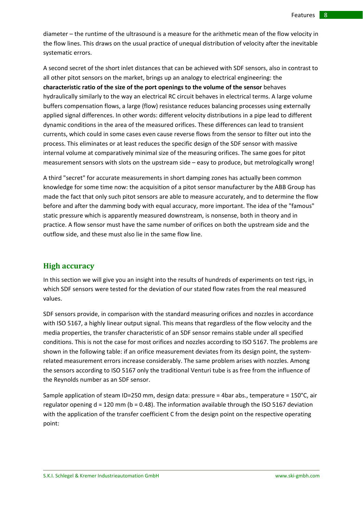diameter – the runtime of the ultrasound is a measure for the arithmetic mean of the flow velocity in the flow lines. This draws on the usual practice of unequal distribution of velocity after the inevitable systematic errors.

A second secret of the short inlet distances that can be achieved with SDF sensors, also in contrast to all other pitot sensors on the market, brings up an analogy to electrical engineering: the **characteristic ratio of the size of the port openings to the volume of the sensor** behaves hydraulically similarly to the way an electrical RC circuit behaves in electrical terms. A large volume buffers compensation flows, a large (flow) resistance reduces balancing processes using externally applied signal differences. In other words: different velocity distributions in a pipe lead to different dynamic conditions in the area of the measured orifices. These differences can lead to transient currents, which could in some cases even cause reverse flows from the sensor to filter out into the process. This eliminates or at least reduces the specific design of the SDF sensor with massive internal volume at comparatively minimal size of the measuring orifices. The same goes for pitot measurement sensors with slots on the upstream side – easy to produce, but metrologically wrong!

A third "secret" for accurate measurements in short damping zones has actually been common knowledge for some time now: the acquisition of a pitot sensor manufacturer by the ABB Group has made the fact that only such pitot sensors are able to measure accurately, and to determine the flow before and after the damming body with equal accuracy, more important. The idea of the "famous" static pressure which is apparently measured downstream, is nonsense, both in theory and in practice. A flow sensor must have the same number of orifices on both the upstream side and the outflow side, and these must also lie in the same flow line.

#### **High accuracy**

In this section we will give you an insight into the results of hundreds of experiments on test rigs, in which SDF sensors were tested for the deviation of our stated flow rates from the real measured values.

SDF sensors provide, in comparison with the standard measuring orifices and nozzles in accordance with ISO 5167, a highly linear output signal. This means that regardless of the flow velocity and the media properties, the transfer characteristic of an SDF sensor remains stable under all specified conditions. This is not the case for most orifices and nozzles according to ISO 5167. The problems are shown in the following table: if an orifice measurement deviates from its design point, the systemrelated measurement errors increase considerably. The same problem arises with nozzles. Among the sensors according to ISO 5167 only the traditional Venturi tube is as free from the influence of the Reynolds number as an SDF sensor.

Sample application of steam ID=250 mm, design data: pressure = 4bar abs., temperature =  $150^{\circ}$ C, air regulator opening  $d = 120$  mm (b = 0.48). The information available through the ISO 5167 deviation with the application of the transfer coefficient C from the design point on the respective operating point: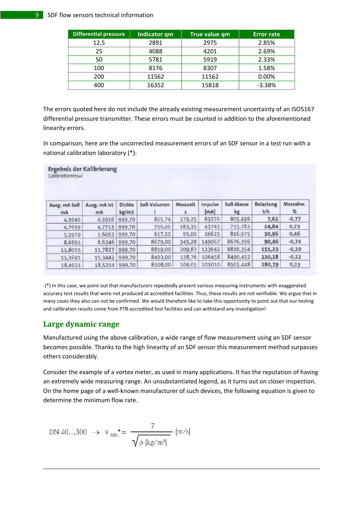#### SDF flow sensors technical information

| Differential pressure | Indicator qm | True value qm | <b>Error rate</b> |
|-----------------------|--------------|---------------|-------------------|
| 12,5                  | 2891         | 2975          | 2.85%             |
| 25                    | 4088         | 4201          | 2.69%             |
| 50                    | 5781         | 5919          | 2.33%             |
| 100                   | 8176         | 8307          | 1.58%             |
| 200                   | 11562        | 11562         | 0.00%             |
| 400                   | 16352        | 15818         | $-3.38%$          |

The errors quoted here do not include the already existing measurement uncertainty of an ISO5167 differential pressure transmitter. These errors must be counted in addition to the aforementioned linearity errors.

In comparison, here are the uncorrected measurement errors of an SDF sensor in a test run with a national calibration laboratory (\*):

| Ergebnis der Kalibrierung<br>Calibrationresul |                    |                 |              |          |                 |                  |                         |               |  |
|-----------------------------------------------|--------------------|-----------------|--------------|----------|-----------------|------------------|-------------------------|---------------|--|
| Ausg. mA Soll<br>mA                           | Ausg. mA Ist<br>mA | Dichte<br>kg/m3 | Soll-Volumen | Messzeit | Impulse<br>[mA] | Soll-Masse<br>kg | <b>Belastung</b><br>t/h | Messabw.<br>% |  |
| 4,3946                                        | 4,3916             | 999,70          | 805,74       | 379,25   | 83276           | 805,498          | 7,65                    | $-0,77$       |  |
| 4,7659                                        | 4,7715             | 999,70          | 756,01       | 183,35   | 43743           | 755,783          | 14,84                   | 0,73          |  |
| 5,5979                                        | 5,6053             | 999,70          | 817,22       | 95,00    | 26625           | 816,975          | 30,96                   | 0,46          |  |
| 8,6691                                        | 8,6346             | 999,70          | 8679,00      | 345,28   | 149067          | 8676,396         | 90,46                   | $-0.74$       |  |
| 11,8055                                       | 11,7827            | 999,70          | 8819,00      | 209,87   | 123642          | 8816,354         | 151,23                  | $-0,29$       |  |
| 15,3691                                       | 15,3442            | 999,70          | 8493,00      | 138,76   | 106458          | 8490,452         | 220,28                  | $-0,22$       |  |
| 18,4921                                       | 18,5254 999,70     |                 | 8508,00      | 109,05   | 101010          | 8505,448         | 280,79                  | 0,23          |  |

(\*) In this case, we point out that manufacturers repeatedly present various measuring instruments with exaggerated accuracy test results that were not produced at accredited facilities. Thus, these results are not verifiable. We argue that in many cases they also can not be confirmed. We would therefore like to take this opportunity to point out that our testing and calibration results come from PTB‐accredited test facilities and can withstand any investigation!

### **Large dynamic range**

Manufactured using the above calibration, a wide range of flow measurement using an SDF sensor becomes possible. Thanks to the high linearity of an SDF sensor this measurement method surpasses others considerably.

Consider the example of a vortex meter, as used in many applications. It has the reputation of having an extremely wide measuring range. An unsubstantiated legend, as it turns out on closer inspection. On the home page of a well‐known manufacturer of such devices, the following equation is given to determine the minimum flow rate.

$$
DN 40...300 \rightarrow v_{min}^* = \frac{7}{\sqrt{\rho [kg/m^3]}} [m/s]
$$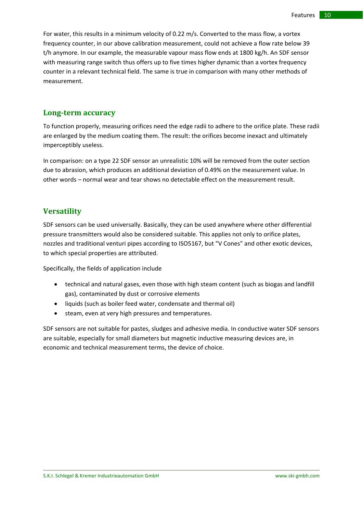For water, this results in a minimum velocity of 0.22 m/s. Converted to the mass flow, a vortex frequency counter, in our above calibration measurement, could not achieve a flow rate below 39 t/h anymore. In our example, the measurable vapour mass flow ends at 1800 kg/h. An SDF sensor with measuring range switch thus offers up to five times higher dynamic than a vortex frequency counter in a relevant technical field. The same is true in comparison with many other methods of measurement.

#### **Longterm accuracy**

To function properly, measuring orifices need the edge radii to adhere to the orifice plate. These radii are enlarged by the medium coating them. The result: the orifices become inexact and ultimately imperceptibly useless.

In comparison: on a type 22 SDF sensor an unrealistic 10% will be removed from the outer section due to abrasion, which produces an additional deviation of 0.49% on the measurement value. In other words – normal wear and tear shows no detectable effect on the measurement result.

### **Versatility**

SDF sensors can be used universally. Basically, they can be used anywhere where other differential pressure transmitters would also be considered suitable. This applies not only to orifice plates, nozzles and traditional venturi pipes according to ISO5167, but "V Cones" and other exotic devices, to which special properties are attributed.

Specifically, the fields of application include

- technical and natural gases, even those with high steam content (such as biogas and landfill gas), contaminated by dust or corrosive elements
- liquids (such as boiler feed water, condensate and thermal oil)
- steam, even at very high pressures and temperatures.

SDF sensors are not suitable for pastes, sludges and adhesive media. In conductive water SDF sensors are suitable, especially for small diameters but magnetic inductive measuring devices are, in economic and technical measurement terms, the device of choice.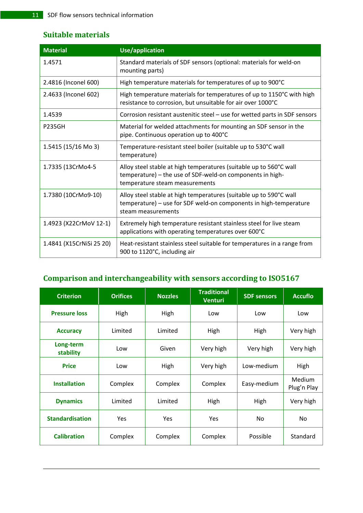## **Suitable materials**

| <b>Material</b>          | <b>Use/application</b>                                                                                                                                            |
|--------------------------|-------------------------------------------------------------------------------------------------------------------------------------------------------------------|
| 1.4571                   | Standard materials of SDF sensors (optional: materials for weld-on<br>mounting parts)                                                                             |
| 2.4816 (Inconel 600)     | High temperature materials for temperatures of up to 900°C                                                                                                        |
| 2.4633 (Inconel 602)     | High temperature materials for temperatures of up to 1150°C with high<br>resistance to corrosion, but unsuitable for air over 1000°C                              |
| 1.4539                   | Corrosion resistant austenitic steel - use for wetted parts in SDF sensors                                                                                        |
| <b>P235GH</b>            | Material for welded attachments for mounting an SDF sensor in the<br>pipe. Continuous operation up to 400°C                                                       |
| 1.5415 (15/16 Mo 3)      | Temperature-resistant steel boiler (suitable up to 530°C wall<br>temperature)                                                                                     |
| 1.7335 (13CrMo4-5        | Alloy steel stable at high temperatures (suitable up to 560°C wall<br>temperature) - the use of SDF-weld-on components in high-<br>temperature steam measurements |
| 1.7380 (10CrMo9-10)      | Alloy steel stable at high temperatures (suitable up to 590°C wall<br>temperature) - use for SDF weld-on components in high-temperature<br>steam measurements     |
| 1.4923 (X22CrMoV 12-1)   | Extremely high temperature resistant stainless steel for live steam<br>applications with operating temperatures over 600°C                                        |
| 1.4841 (X15CrNiSi 25 20) | Heat-resistant stainless steel suitable for temperatures in a range from<br>900 to 1120°C, including air                                                          |

## **Comparison and interchangeability with sensors according to ISO5167**

| <b>Criterion</b>       | <b>Orifices</b> | <b>Nozzles</b> | <b>Traditional</b><br>Venturi | <b>SDF</b> sensors | <b>Accuflo</b>               |  |
|------------------------|-----------------|----------------|-------------------------------|--------------------|------------------------------|--|
| <b>Pressure loss</b>   | High            | High           | Low                           | Low                | Low                          |  |
| <b>Accuracy</b>        | Limited         | Limited        | High                          | High               | Very high                    |  |
| Long-term<br>stability | Low             | Given          | Very high                     | Very high          | Very high                    |  |
| <b>Price</b>           | Low             | High           | Very high                     | Low-medium         | High                         |  |
| <b>Installation</b>    | Complex         | Complex        | Complex                       | Easy-medium        | <b>Medium</b><br>Plug'n Play |  |
| <b>Dynamics</b>        | Limited         | Limited        | High                          | High               | Very high                    |  |
| <b>Standardisation</b> | <b>Yes</b>      | Yes            | <b>Yes</b>                    | No                 | No.                          |  |
| <b>Calibration</b>     | Complex         | Complex        | Complex                       | Possible           | Standard                     |  |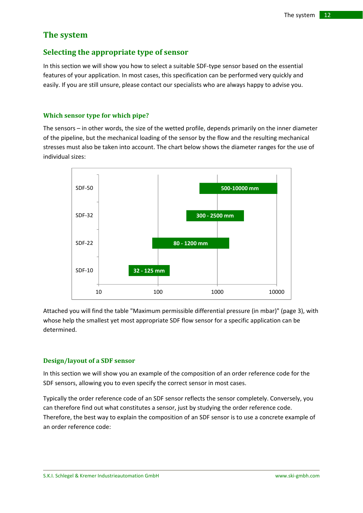## **The system**

### **Selecting the appropriate type of sensor**

In this section we will show you how to select a suitable SDF‐type sensor based on the essential features of your application. In most cases, this specification can be performed very quickly and easily. If you are still unsure, please contact our specialists who are always happy to advise you.

#### **Which sensor type for which pipe?**

The sensors – in other words, the size of the wetted profile, depends primarily on the inner diameter of the pipeline, but the mechanical loading of the sensor by the flow and the resulting mechanical stresses must also be taken into account. The chart below shows the diameter ranges for the use of individual sizes:



Attached you will find the table "Maximum permissible differential pressure (in mbar)" (page 3), with whose help the smallest yet most appropriate SDF flow sensor for a specific application can be determined.

#### **Design/layout of a SDF sensor**

In this section we will show you an example of the composition of an order reference code for the SDF sensors, allowing you to even specify the correct sensor in most cases.

Typically the order reference code of an SDF sensor reflects the sensor completely. Conversely, you can therefore find out what constitutes a sensor, just by studying the order reference code. Therefore, the best way to explain the composition of an SDF sensor is to use a concrete example of an order reference code: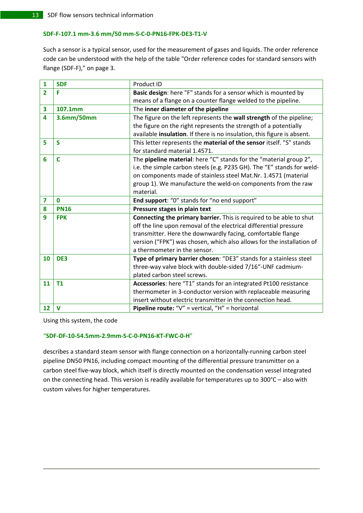#### SDF-F-107.1 mm-3.6 mm/50 mm-S-C-0-PN16-FPK-DE3-T1-V

Such a sensor is a typical sensor, used for the measurement of gases and liquids. The order reference code can be understood with the help of the table "Order reference codes for standard sensors with flange (SDF‐F)," on page 3.

| 1                       | <b>SDF</b>  | Product ID                                                              |
|-------------------------|-------------|-------------------------------------------------------------------------|
| $\overline{2}$          | F           | Basic design: here "F" stands for a sensor which is mounted by          |
|                         |             | means of a flange on a counter flange welded to the pipeline.           |
| 3                       | 107.1mm     | The inner diameter of the pipeline                                      |
| 4                       | 3.6mm/50mm  | The figure on the left represents the wall strength of the pipeline;    |
|                         |             | the figure on the right represents the strength of a potentially        |
|                         |             | available insulation. If there is no insulation, this figure is absent. |
| 5                       | <b>S</b>    | This letter represents the material of the sensor itself. "S" stands    |
|                         |             | for standard material 1.4571.                                           |
| 6                       | $\mathbf C$ | The pipeline material: here "C" stands for the "material group 2",      |
|                         |             | i.e. the simple carbon steels (e.g. P235 GH). The "E" stands for weld-  |
|                         |             | on components made of stainless steel Mat.Nr. 1.4571 (material          |
|                         |             | group 1). We manufacture the weld-on components from the raw            |
|                         |             | material.                                                               |
|                         |             |                                                                         |
| $\overline{\mathbf{z}}$ | $\bf{0}$    | End support: "0" stands for "no end support"                            |
| 8                       | <b>PN16</b> | Pressure stages in plain text                                           |
| 9                       | <b>FPK</b>  | Connecting the primary barrier. This is required to be able to shut     |
|                         |             | off the line upon removal of the electrical differential pressure       |
|                         |             | transmitter. Here the downwardly facing, comfortable flange             |
|                         |             | version ("FPK") was chosen, which also allows for the installation of   |
|                         |             | a thermometer in the sensor.                                            |
| 10                      | DE3         | Type of primary barrier chosen: "DE3" stands for a stainless steel      |
|                         |             | three-way valve block with double-sided 7/16"-UNF cadmium-              |
|                         |             | plated carbon steel screws.                                             |
| 11                      | <b>T1</b>   | Accessories: here "T1" stands for an integrated Pt100 resistance        |
|                         |             | thermometer in 3-conductor version with replaceable measuring           |
|                         |             | insert without electric transmitter in the connection head.             |

Using this system, the code

#### "**SDF‐DF‐10‐54.5mm‐2.9mm‐S‐C‐0‐PN16‐KT‐FWC‐0‐H**"

describes a standard steam sensor with flange connection on a horizontally-running carbon steel pipeline DN50 PN16, including compact mounting of the differential pressure transmitter on a carbon steel five‐way block, which itself is directly mounted on the condensation vessel integrated on the connecting head. This version is readily available for temperatures up to 300°C – also with custom valves for higher temperatures.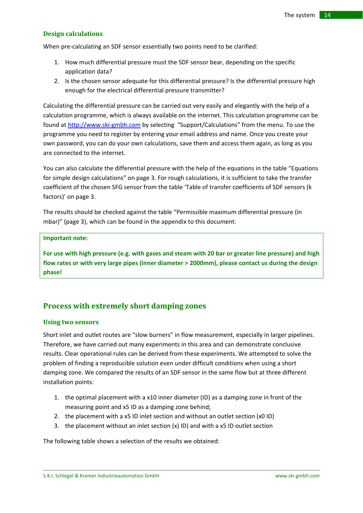#### **Design calculations**

When pre-calculating an SDF sensor essentially two points need to be clarified:

- 1. How much differential pressure must the SDF sensor bear, depending on the specific application data?
- 2. Is the chosen sensor adequate for this differential pressure? Is the differential pressure high enough for the electrical differential pressure transmitter?

Calculating the differential pressure can be carried out very easily and elegantly with the help of a calculation programme, which is always available on the internet. This calculation programme can be found at http://www.ski‐gmbh.com by selecting "Support/Calculations" from the menu. To use the programme you need to register by entering your email address and name. Once you create your own password, you can do your own calculations, save them and access them again, as long as you are connected to the internet.

You can also calculate the differential pressure with the help of the equations in the table "Equations for simple design calculations" on page 3. For rough calculations, it is sufficient to take the transfer coefficient of the chosen SFG sensor from the table 'Table of transfer coefficients of SDF sensors (k factors)' on page 3.

The results should be checked against the table "Permissible maximum differential pressure (in mbar)" (page 3), which can be found in the appendix to this document.

#### **Important note:**

For use with high pressure (e.g. with gases and steam with 20 bar or greater line pressure) and high **flow rates or with very large pipes (inner diameter > 2000mm), please contact us during the design phase!**

### **Process with extremely short damping zones**

#### **Using two sensors**

Short inlet and outlet routes are "slow burners" in flow measurement, especially in larger pipelines. Therefore, we have carried out many experiments in this area and can demonstrate conclusive results. Clear operational rules can be derived from these experiments. We attempted to solve the problem of finding a reproducible solution even under difficult conditions when using a short damping zone. We compared the results of an SDF sensor in the same flow but at three different installation points:

- 1. the optimal placement with a x10 inner diameter (ID) as a damping zone in front of the measuring point and x5 ID as a damping zone behind;
- 2. the placement with a x5 ID inlet section and without an outlet section (x0 ID)
- 3. the placement without an inlet section (x) ID) and with a x5 ID outlet section

The following table shows a selection of the results we obtained: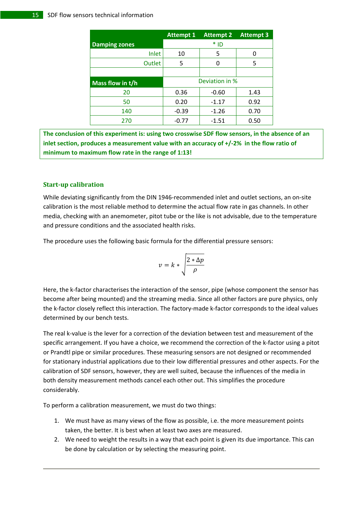|                      | <b>Attempt 1</b> | <b>Attempt 2</b> | <b>Attempt 3</b> |
|----------------------|------------------|------------------|------------------|
| <b>Damping zones</b> |                  | $*$ ID           |                  |
| Inlet                | 10               | 5                |                  |
| Outlet               | 5                | 0                | 5                |
|                      |                  |                  |                  |
| Mass flow in t/h     |                  | Deviation in %   |                  |
| 20                   | 0.36             | $-0.60$          | 1.43             |
| 50                   | 0.20             | $-1.17$          | 0.92             |
| 140                  | $-0.39$          | $-1.26$          | 0.70             |
| 270                  | -0.77            | $-1.51$          | 0.50             |

**The conclusion of this experiment is: using two crosswise SDF flow sensors, in the absence of an inlet section, produces a measurement value with an accuracy of +/‐2% in the flow ratio of minimum to maximum flow rate in the range of 1:13!**

#### **Startup calibration**

While deviating significantly from the DIN 1946‐recommended inlet and outlet sections, an on‐site calibration is the most reliable method to determine the actual flow rate in gas channels. In other media, checking with an anemometer, pitot tube or the like is not advisable, due to the temperature and pressure conditions and the associated health risks.

The procedure uses the following basic formula for the differential pressure sensors:

$$
v = k * \sqrt{\frac{2 * \Delta p}{\rho}}
$$

Here, the k-factor characterises the interaction of the sensor, pipe (whose component the sensor has become after being mounted) and the streaming media. Since all other factors are pure physics, only the k-factor closely reflect this interaction. The factory-made k-factor corresponds to the ideal values determined by our bench tests.

The real k-value is the lever for a correction of the deviation between test and measurement of the specific arrangement. If you have a choice, we recommend the correction of the k‐factor using a pitot or Prandtl pipe or similar procedures. These measuring sensors are not designed or recommended for stationary industrial applications due to their low differential pressures and other aspects. For the calibration of SDF sensors, however, they are well suited, because the influences of the media in both density measurement methods cancel each other out. This simplifies the procedure considerably.

To perform a calibration measurement, we must do two things:

- 1. We must have as many views of the flow as possible, i.e. the more measurement points taken, the better. It is best when at least two axes are measured.
- 2. We need to weight the results in a way that each point is given its due importance. This can be done by calculation or by selecting the measuring point.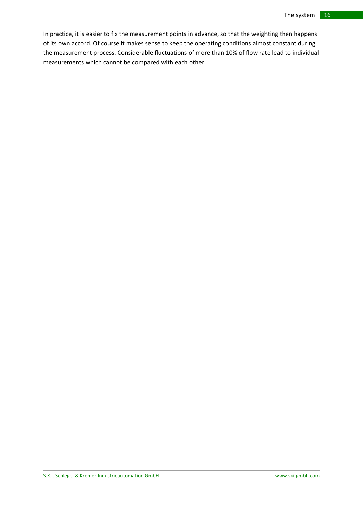In practice, it is easier to fix the measurement points in advance, so that the weighting then happens of its own accord. Of course it makes sense to keep the operating conditions almost constant during the measurement process. Considerable fluctuations of more than 10% of flow rate lead to individual measurements which cannot be compared with each other.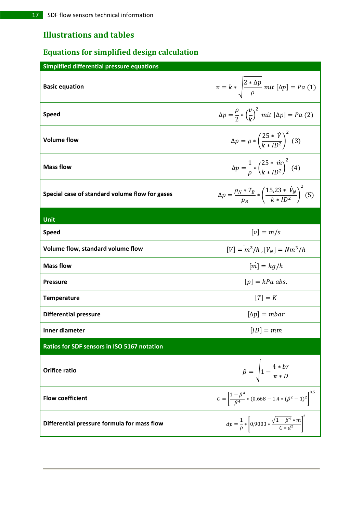## **Illustrations and tables**

## **Equations for simplified design calculation**

| <b>Simplified differential pressure equations</b>  |                                                                                                   |
|----------------------------------------------------|---------------------------------------------------------------------------------------------------|
| <b>Basic equation</b>                              | $v = k * \sqrt{\frac{2 * \Delta p}{\rho}}$ mit $[\Delta p] = Pa(1)$                               |
| <b>Speed</b>                                       | $\Delta p = \frac{\rho}{2} * \left(\frac{v}{k}\right)^2 \text{ mit } [\Delta p] = Pa \text{ (2)}$ |
| <b>Volume flow</b>                                 | $\Delta p = \rho * \left(\frac{25 * \dot{V}}{k * ID^2}\right)^2$ (3)                              |
| <b>Mass flow</b>                                   | $\Delta p = \frac{1}{\rho} * \left( \frac{25 * m}{k * ID^2} \right)^2$ (4)                        |
| Special case of standard volume flow for gases     | $\Delta p = \frac{\rho_N * T_B}{p_B} * \left(\frac{15,23 * \dot{V}_N}{k * ID^2}\right)^2$ (5)     |
| Unit                                               |                                                                                                   |
| <b>Speed</b>                                       | $[v] = m/s$                                                                                       |
| Volume flow, standard volume flow                  | $[V] = m^3/h$ , $[V_N] = Nm^3/h$                                                                  |
| <b>Mass flow</b>                                   | $\left[\dot{m}\right] = \frac{kg}{h}$                                                             |
| <b>Pressure</b>                                    | $[p] = kPa$ abs.                                                                                  |
| <b>Temperature</b>                                 | $[T] = K$                                                                                         |
| <b>Differential pressure</b>                       | $[\Delta p] = mbar$                                                                               |
| Inner diameter                                     | $[ID] = mm$                                                                                       |
| <b>Ratios for SDF sensors in ISO 5167 notation</b> |                                                                                                   |
| <b>Orifice ratio</b>                               | $\beta = \sqrt{1 - \frac{4 * br}{\pi * D}}$                                                       |
| <b>Flow coefficient</b>                            | $C = \left[\frac{1-\beta^4}{\beta^4} * (0.668 - 1.4 * (\beta^2 - 1)^2)\right]^{0.6}$              |
| Differential pressure formula for mass flow        | $dp = \frac{1}{\rho} * \left[ 0.9003 * \frac{\sqrt{1 - \beta^4} * m}{C * d^2} \right]^2$          |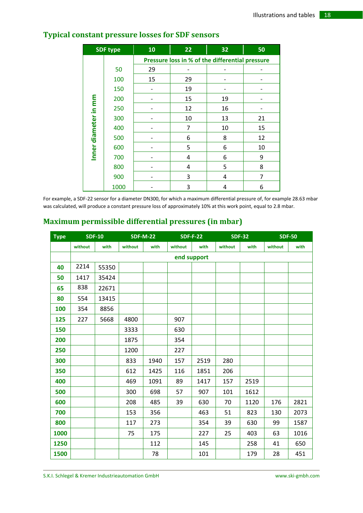| <b>SDF type</b>      |      | 10                                              | 22 | 32 | 50             |  |  |  |  |
|----------------------|------|-------------------------------------------------|----|----|----------------|--|--|--|--|
|                      |      | Pressure loss in % of the differential pressure |    |    |                |  |  |  |  |
|                      | 50   | 29                                              |    |    |                |  |  |  |  |
|                      | 100  | 15                                              | 29 |    |                |  |  |  |  |
|                      | 150  |                                                 | 19 |    |                |  |  |  |  |
|                      | 200  |                                                 | 15 | 19 |                |  |  |  |  |
| Inner diameter in mm | 250  |                                                 | 12 | 16 |                |  |  |  |  |
|                      | 300  |                                                 | 10 | 13 | 21             |  |  |  |  |
|                      | 400  |                                                 | 7  | 10 | 15             |  |  |  |  |
|                      | 500  |                                                 | 6  | 8  | 12             |  |  |  |  |
|                      | 600  |                                                 | 5  | 6  | 10             |  |  |  |  |
|                      | 700  |                                                 | 4  | 6  | 9              |  |  |  |  |
|                      | 800  |                                                 | 4  | 5  | 8              |  |  |  |  |
|                      | 900  |                                                 | 3  | 4  | $\overline{7}$ |  |  |  |  |
|                      | 1000 |                                                 | 3  | 4  | 6              |  |  |  |  |

## **Typical constant pressure losses for SDF sensors**

For example, a SDF‐22 sensor for a diameter DN300, for which a maximum differential pressure of, for example 28.63 mbar was calculated, will produce a constant pressure loss of approximately 10% at this work point, equal to 2.8 mbar.

## **Maximum permissible differential pressures (in mbar)**

| <b>Type</b> |             | <b>SDF-10</b> | <b>SDF-M-22</b> |      |         | <b>SDF-F-22</b> |         | <b>SDF-32</b> |         | <b>SDF-50</b> |
|-------------|-------------|---------------|-----------------|------|---------|-----------------|---------|---------------|---------|---------------|
|             | without     | with          | without         | with | without | with            | without | with          | without | with          |
|             | end support |               |                 |      |         |                 |         |               |         |               |
| 40          | 2214        | 55350         |                 |      |         |                 |         |               |         |               |
| 50          | 1417        | 35424         |                 |      |         |                 |         |               |         |               |
| 65          | 838         | 22671         |                 |      |         |                 |         |               |         |               |
| 80          | 554         | 13415         |                 |      |         |                 |         |               |         |               |
| 100         | 354         | 8856          |                 |      |         |                 |         |               |         |               |
| 125         | 227         | 5668          | 4800            |      | 907     |                 |         |               |         |               |
| 150         |             |               | 3333            |      | 630     |                 |         |               |         |               |
| 200         |             |               | 1875            |      | 354     |                 |         |               |         |               |
| 250         |             |               | 1200            |      | 227     |                 |         |               |         |               |
| 300         |             |               | 833             | 1940 | 157     | 2519            | 280     |               |         |               |
| 350         |             |               | 612             | 1425 | 116     | 1851            | 206     |               |         |               |
| 400         |             |               | 469             | 1091 | 89      | 1417            | 157     | 2519          |         |               |
| 500         |             |               | 300             | 698  | 57      | 907             | 101     | 1612          |         |               |
| 600         |             |               | 208             | 485  | 39      | 630             | 70      | 1120          | 176     | 2821          |
| 700         |             |               | 153             | 356  |         | 463             | 51      | 823           | 130     | 2073          |
| 800         |             |               | 117             | 273  |         | 354             | 39      | 630           | 99      | 1587          |
| 1000        |             |               | 75              | 175  |         | 227             | 25      | 403           | 63      | 1016          |
| 1250        |             |               |                 | 112  |         | 145             |         | 258           | 41      | 650           |
| 1500        |             |               |                 | 78   |         | 101             |         | 179           | 28      | 451           |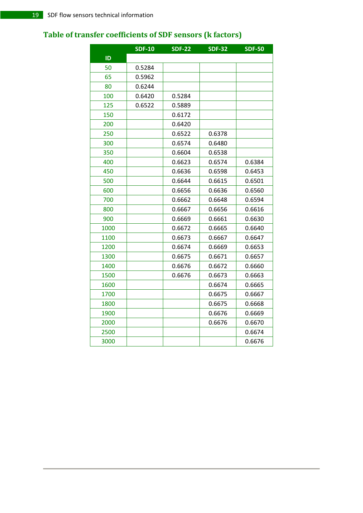## **Table of transfer coefficients of SDF sensors (k factors)**

|      | <b>SDF-10</b> | $SDF-22$ | <b>SDF-32</b> | <b>SDF-50</b> |
|------|---------------|----------|---------------|---------------|
| ID   |               |          |               |               |
| 50   | 0.5284        |          |               |               |
| 65   | 0.5962        |          |               |               |
| 80   | 0.6244        |          |               |               |
| 100  | 0.6420        | 0.5284   |               |               |
| 125  | 0.6522        | 0.5889   |               |               |
| 150  |               | 0.6172   |               |               |
| 200  |               | 0.6420   |               |               |
| 250  |               | 0.6522   | 0.6378        |               |
| 300  |               | 0.6574   | 0.6480        |               |
| 350  |               | 0.6604   | 0.6538        |               |
| 400  |               | 0.6623   | 0.6574        | 0.6384        |
| 450  |               | 0.6636   | 0.6598        | 0.6453        |
| 500  |               | 0.6644   | 0.6615        | 0.6501        |
| 600  |               | 0.6656   | 0.6636        | 0.6560        |
| 700  |               | 0.6662   | 0.6648        | 0.6594        |
| 800  |               | 0.6667   | 0.6656        | 0.6616        |
| 900  |               | 0.6669   | 0.6661        | 0.6630        |
| 1000 |               | 0.6672   | 0.6665        | 0.6640        |
| 1100 |               | 0.6673   | 0.6667        | 0.6647        |
| 1200 |               | 0.6674   | 0.6669        | 0.6653        |
| 1300 |               | 0.6675   | 0.6671        | 0.6657        |
| 1400 |               | 0.6676   | 0.6672        | 0.6660        |
| 1500 |               | 0.6676   | 0.6673        | 0.6663        |
| 1600 |               |          | 0.6674        | 0.6665        |
| 1700 |               |          | 0.6675        | 0.6667        |
| 1800 |               |          | 0.6675        | 0.6668        |
| 1900 |               |          | 0.6676        | 0.6669        |
| 2000 |               |          | 0.6676        | 0.6670        |
| 2500 |               |          |               | 0.6674        |
| 3000 |               |          |               | 0.6676        |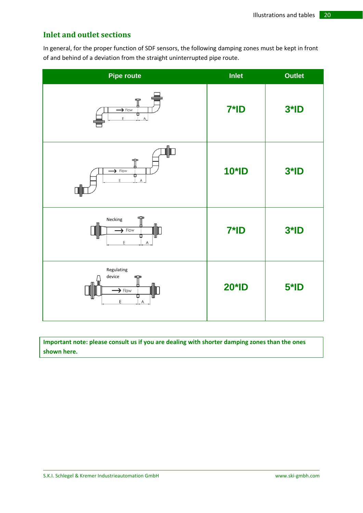## **Inlet and outlet sections**

In general, for the proper function of SDF sensors, the following damping zones must be kept in front of and behind of a deviation from the straight uninterrupted pipe route.

| <b>Pipe route</b>                                                                                                                                                                                                                                                                                                                                                                                                                                                                                                                                             | <b>Inlet</b> | <b>Outlet</b> |
|---------------------------------------------------------------------------------------------------------------------------------------------------------------------------------------------------------------------------------------------------------------------------------------------------------------------------------------------------------------------------------------------------------------------------------------------------------------------------------------------------------------------------------------------------------------|--------------|---------------|
| ₩<br>$\rightarrow$ Flow<br>σ<br>E<br>$\overline{A}$                                                                                                                                                                                                                                                                                                                                                                                                                                                                                                           | $7*ID$       | $3*ID$        |
| ⊪<br>$\mathbb T$<br>$\rightarrow$ Flow<br>Φ<br>E<br>$\mathsf{A}% _{\mathsf{A}}^{\prime\prime}=\mathsf{A}_{\mathsf{A}}^{\prime\prime}% =\mathsf{A}_{\mathsf{A}}^{\prime\prime}% =\mathsf{A}_{\mathsf{A}}^{\prime\prime}% =\mathsf{A}_{\mathsf{A}}^{\prime\prime}% =\mathsf{A}_{\mathsf{A}}^{\prime\prime}% =\mathsf{A}_{\mathsf{A}}^{\prime\prime}% =\mathsf{A}_{\mathsf{A}}^{\prime\prime}% =\mathsf{A}_{\mathsf{A}}^{\prime\prime}% =\mathsf{A}_{\mathsf{A}}^{\prime\prime}% =\mathsf{A}_{\mathsf{A}}^{\prime\prime}% =\mathsf{A}_{\mathsf{A$<br><b>d  I</b> | <b>10*ID</b> | $3*ID$        |
| ∯<br>Necking<br>$\rightarrow$ Flow<br>Ш<br>Ε<br>$\overline{A}$                                                                                                                                                                                                                                                                                                                                                                                                                                                                                                | $7*ID$       | $3*ID$        |
| Regulating<br>device<br>ᢡ<br>嘶<br>$\blacktriangleright$ Flow<br>Φ<br>E<br>$\mathsf{A}% _{\mathsf{A}}^{\prime}=\mathsf{A}_{\mathsf{A}}^{\prime}=\mathsf{A}_{\mathsf{A}}^{\prime}$                                                                                                                                                                                                                                                                                                                                                                              | <b>20*ID</b> | $5*ID$        |

**Important note: please consult us if you are dealing with shorter damping zones than the ones shown here.**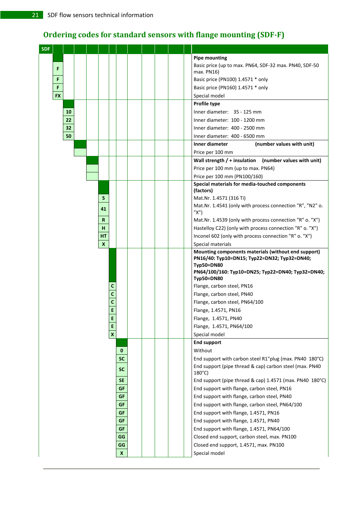## **Ordering codes for standard sensors with flange mounting (SDFF)**

| <b>SDF</b> |           |          |  |                    |              |                  |  |  |                                                                                                                        |
|------------|-----------|----------|--|--------------------|--------------|------------------|--|--|------------------------------------------------------------------------------------------------------------------------|
|            |           |          |  |                    |              |                  |  |  | <b>Pipe mounting</b>                                                                                                   |
|            | F         |          |  |                    |              |                  |  |  | Basic price (up to max. PN64, SDF-32 max. PN40, SDF-50                                                                 |
|            |           |          |  |                    |              |                  |  |  | max. PN16)                                                                                                             |
|            | F         |          |  |                    |              |                  |  |  | Basic price (PN100) 1.4571 * only                                                                                      |
|            | F         |          |  |                    |              |                  |  |  | Basic price (PN160) 1.4571 * only                                                                                      |
|            | <b>FX</b> |          |  |                    |              |                  |  |  | Special model                                                                                                          |
|            |           |          |  |                    |              |                  |  |  | Profile type                                                                                                           |
|            |           | 10       |  |                    |              |                  |  |  | Inner diameter: 35 - 125 mm<br>Inner diameter: 100 - 1200 mm                                                           |
|            |           | 22<br>32 |  |                    |              |                  |  |  |                                                                                                                        |
|            |           | 50       |  |                    |              |                  |  |  | Inner diameter: 400 - 2500 mm<br>Inner diameter: 400 - 6500 mm                                                         |
|            |           |          |  |                    |              |                  |  |  | (number values with unit)<br>Inner diameter                                                                            |
|            |           |          |  |                    |              |                  |  |  | Price per 100 mm                                                                                                       |
|            |           |          |  |                    |              |                  |  |  | (number values with unit)<br>Wall strength $/$ + insulation                                                            |
|            |           |          |  |                    |              |                  |  |  | Price per 100 mm (up to max. PN64)                                                                                     |
|            |           |          |  |                    |              |                  |  |  | Price per 100 mm (PN100/160)                                                                                           |
|            |           |          |  |                    |              |                  |  |  | Special materials for media-touched components                                                                         |
|            |           |          |  |                    |              |                  |  |  | (factors)                                                                                                              |
|            |           |          |  | S                  |              |                  |  |  | Mat.Nr. 1.4571 (316 Ti)                                                                                                |
|            |           |          |  | 41                 |              |                  |  |  | Mat.Nr. 1.4541 (only with process connection "R", "N2" o.                                                              |
|            |           |          |  |                    |              |                  |  |  | "X")                                                                                                                   |
|            |           |          |  | R                  |              |                  |  |  | Mat.Nr. 1.4539 (only with process connection "R" o. "X")                                                               |
|            |           |          |  | н                  |              |                  |  |  | Hastelloy C22) (only with process connection "R" o. "X")                                                               |
|            |           |          |  | HT<br>$\mathbf{x}$ |              |                  |  |  | Inconel 602 (only with process connection "R" o. "X")                                                                  |
|            |           |          |  |                    |              |                  |  |  | Special materials<br>Mounting components materials (without end support)                                               |
|            |           |          |  |                    |              |                  |  |  | PN16/40: Typ10=DN15; Typ22=DN32; Typ32=DN40;<br><b>Typ50=DN80</b><br>PN64/100/160: Typ10=DN25; Typ22=DN40; Typ32=DN40; |
|            |           |          |  |                    |              |                  |  |  | <b>Typ50=DN80</b><br>Flange, carbon steel, PN16                                                                        |
|            |           |          |  |                    | С<br>C       |                  |  |  | Flange, carbon steel, PN40                                                                                             |
|            |           |          |  |                    | C            |                  |  |  | Flange, carbon steel, PN64/100                                                                                         |
|            |           |          |  |                    | E            |                  |  |  | Flange, 1.4571, PN16                                                                                                   |
|            |           |          |  |                    | E            |                  |  |  | Flange, 1.4571, PN40                                                                                                   |
|            |           |          |  |                    | E            |                  |  |  | Flange, 1.4571, PN64/100                                                                                               |
|            |           |          |  |                    | $\mathbf{x}$ |                  |  |  | Special model                                                                                                          |
|            |           |          |  |                    |              |                  |  |  | <b>End support</b>                                                                                                     |
|            |           |          |  |                    |              | $\mathbf 0$      |  |  | Without                                                                                                                |
|            |           |          |  |                    |              | <b>SC</b>        |  |  | End support with carbon steel R1"plug (max. PN40 180°C)                                                                |
|            |           |          |  |                    |              |                  |  |  | End support (pipe thread & cap) carbon steel (max. PN40                                                                |
|            |           |          |  |                    |              | <b>SC</b>        |  |  | $180^{\circ}$ C)                                                                                                       |
|            |           |          |  |                    |              | <b>SE</b>        |  |  | End support (pipe thread & cap) 1.4571 (max. PN40 180°C)                                                               |
|            |           |          |  |                    |              | GF               |  |  | End support with flange, carbon steel, PN16                                                                            |
|            |           |          |  |                    |              | GF               |  |  | End support with flange, carbon steel, PN40                                                                            |
|            |           |          |  |                    |              | GF               |  |  | End support with flange, carbon steel, PN64/100                                                                        |
|            |           |          |  |                    |              | GF               |  |  | End support with flange, 1.4571, PN16                                                                                  |
|            |           |          |  |                    |              | GF               |  |  | End support with flange, 1.4571, PN40                                                                                  |
|            |           |          |  |                    |              | GF               |  |  | End support with flange, 1.4571, PN64/100                                                                              |
|            |           |          |  |                    |              | GG               |  |  | Closed end support, carbon steel, max. PN100                                                                           |
|            |           |          |  |                    |              | GG               |  |  | Closed end support, 1.4571, max. PN100                                                                                 |
|            |           |          |  |                    |              | $\boldsymbol{x}$ |  |  | Special model                                                                                                          |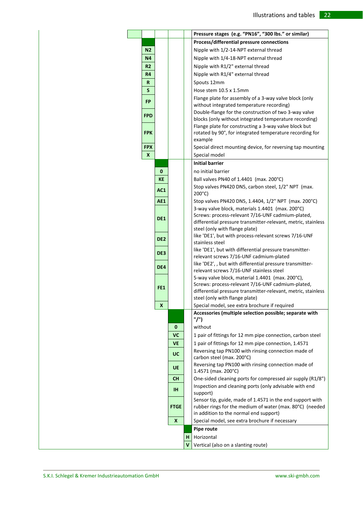|                  |                  |    | Pressure stages (e.g. "PN16", "300 lbs." or similar)                                                                                                                                                     |  |
|------------------|------------------|----|----------------------------------------------------------------------------------------------------------------------------------------------------------------------------------------------------------|--|
|                  |                  |    | Process/differential pressure connections                                                                                                                                                                |  |
| N <sub>2</sub>   |                  |    | Nipple with 1/2-14-NPT external thread                                                                                                                                                                   |  |
| <b>N4</b>        |                  |    | Nipple with 1/4-18-NPT external thread                                                                                                                                                                   |  |
| R <sub>2</sub>   |                  |    | Nipple with R1/2" external thread                                                                                                                                                                        |  |
| R4               |                  |    | Nipple with R1/4" external thread                                                                                                                                                                        |  |
| R                |                  |    | Spouts 12mm                                                                                                                                                                                              |  |
| S                |                  |    | Hose stem 10.5 x 1.5mm                                                                                                                                                                                   |  |
| FP               |                  |    | Flange plate for assembly of a 3-way valve block (only<br>without integrated temperature recording)                                                                                                      |  |
|                  |                  |    | Double-flange for the construction of two 3-way valve                                                                                                                                                    |  |
| <b>FPD</b>       |                  |    | blocks (only without integrated temperature recording)                                                                                                                                                   |  |
|                  |                  |    | Flange plate for constructing a 3-way valve block but                                                                                                                                                    |  |
| <b>FPK</b>       |                  |    | rotated by 90°, for integrated temperature recording for                                                                                                                                                 |  |
| <b>FPX</b>       |                  |    | example                                                                                                                                                                                                  |  |
| $\boldsymbol{x}$ |                  |    | Special direct mounting device, for reversing tap mounting<br>Special model                                                                                                                              |  |
|                  |                  |    | <b>Initial barrier</b>                                                                                                                                                                                   |  |
|                  |                  |    |                                                                                                                                                                                                          |  |
|                  | $\mathbf{0}$     |    | no initial barrier                                                                                                                                                                                       |  |
|                  | <b>KE</b>        |    | Ball valves PN40 of 1.4401 (max. 200°C)                                                                                                                                                                  |  |
|                  | AC1              |    | Stop valves PN420 DN5, carbon steel, 1/2" NPT (max.<br>$200^{\circ}$ C)                                                                                                                                  |  |
|                  | AE1              |    | Stop valves PN420 DN5, 1.4404, 1/2" NPT (max. 200°C)                                                                                                                                                     |  |
|                  | DE1              |    | 3-way valve block, materials 1.4401 (max. 200°C)<br>Screws: process-relevant 7/16-UNF cadmium-plated,                                                                                                    |  |
|                  |                  |    | differential pressure transmitter-relevant, metric, stainless<br>steel (only with flange plate)                                                                                                          |  |
|                  | DE <sub>2</sub>  |    | like 'DE1', but with process-relevant screws 7/16-UNF<br>stainless steel                                                                                                                                 |  |
|                  | DE3              |    | like 'DE1', but with differential pressure transmitter-<br>relevant screws 7/16-UNF cadmium-plated                                                                                                       |  |
|                  | DE4              |    | like 'DE2', , but with differential pressure transmitter-<br>relevant screws 7/16-UNF stainless steel                                                                                                    |  |
|                  | FE <sub>1</sub>  |    | 5-way valve block, material 1.4401 (max. 200°C),<br>Screws: process-relevant 7/16-UNF cadmium-plated,<br>differential pressure transmitter-relevant, metric, stainless<br>steel (only with flange plate) |  |
|                  | $\boldsymbol{x}$ |    | Special model, see extra brochure if required                                                                                                                                                            |  |
|                  |                  |    | Accessories (multiple selection possible; separate with                                                                                                                                                  |  |
|                  |                  |    | "/")                                                                                                                                                                                                     |  |
|                  | 0                |    | without                                                                                                                                                                                                  |  |
|                  | <b>VC</b>        |    | 1 pair of fittings for 12 mm pipe connection, carbon steel                                                                                                                                               |  |
|                  | <b>VE</b>        |    | 1 pair of fittings for 12 mm pipe connection, 1.4571                                                                                                                                                     |  |
|                  | <b>UC</b>        |    | Reversing tap PN100 with rinsing connection made of<br>carbon steel (max. 200°C)                                                                                                                         |  |
|                  | <b>UE</b>        |    | Reversing tap PN100 with rinsing connection made of<br>1.4571 (max. 200°C)                                                                                                                               |  |
|                  | <b>CH</b>        |    | One-sided cleaning ports for compressed air supply (R1/8")                                                                                                                                               |  |
|                  | IH.              |    | Inspection and cleaning ports (only advisable with end<br>support)                                                                                                                                       |  |
|                  | <b>FTGE</b>      |    | Sensor tip, guide, made of 1.4571 in the end support with<br>rubber rings for the medium of water (max. 80°C) (needed                                                                                    |  |
|                  |                  |    | in addition to the normal end support)                                                                                                                                                                   |  |
|                  | $\boldsymbol{x}$ |    | Special model, see extra brochure if necessary                                                                                                                                                           |  |
|                  |                  |    | Pipe route                                                                                                                                                                                               |  |
|                  |                  | н. | Horizontal                                                                                                                                                                                               |  |
|                  |                  | v  | Vertical (also on a slanting route)                                                                                                                                                                      |  |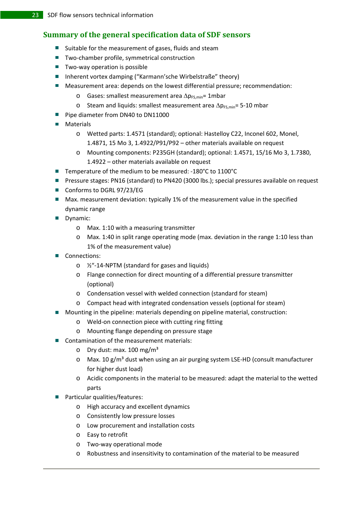## **Summary of the general specification data of SDF sensors**

- $\blacksquare$  Suitable for the measurement of gases, fluids and steam
- Two-chamber profile, symmetrical construction
- Two-way operation is possible
- Inherent vortex damping ("Karmann'sche Wirbelstraße" theory)
- Measurement area: depends on the lowest differential pressure; recommendation:
	- o Gases: smallest measurement area  $\Delta p_{FS,min}$ = 1mbar
	- o Steam and liquids: smallest measurement area  $\Delta p_{FS,min}$ = 5-10 mbar
- Pipe diameter from DN40 to DN11000
- **Materials** 
	- o Wetted parts: 1.4571 (standard); optional: Hastelloy C22, Inconel 602, Monel, 1.4871, 15 Mo 3, 1.4922/P91/P92 – other materials available on request
	- o Mounting components: P235GH (standard); optional: 1.4571, 15/16 Mo 3, 1.7380, 1.4922 – other materials available on request
- Temperature of the medium to be measured: -180°C to 1100°C
- **Pressure stages: PN16 (standard) to PN420 (3000 lbs.); special pressures available on request**
- Conforms to DGRL 97/23/EG
- Max. measurement deviation: typically 1% of the measurement value in the specified dynamic range
- Dynamic:
	- o Max. 1:10 with a measuring transmitter
	- o Max. 1:40 in split range operating mode (max. deviation in the range 1:10 less than 1% of the measurement value)
- Connections:
	- o ½"‐14‐NPTM (standard for gases and liquids)
	- o Flange connection for direct mounting of a differential pressure transmitter (optional)
	- o Condensation vessel with welded connection (standard for steam)
	- o Compact head with integrated condensation vessels (optional for steam)
- Mounting in the pipeline: materials depending on pipeline material, construction:
	- o Weld‐on connection piece with cutting ring fitting
	- o Mounting flange depending on pressure stage
- Contamination of the measurement materials:
	- $\circ$  Dry dust: max. 100 mg/m<sup>3</sup>
	- o Max. 10 g/m<sup>3</sup> dust when using an air purging system LSE-HD (consult manufacturer for higher dust load)
	- o Acidic components in the material to be measured: adapt the material to the wetted parts
- Particular qualities/features:
	- o High accuracy and excellent dynamics
	- o Consistently low pressure losses
	- o Low procurement and installation costs
	- o Easy to retrofit
	- o Two‐way operational mode
	- o Robustness and insensitivity to contamination of the material to be measured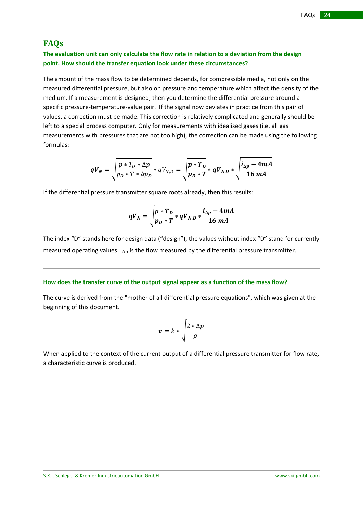### **FAQs**

#### **The evaluation unit can only calculate the flow rate in relation to a deviation from the design point. How should the transfer equation look under these circumstances?**

The amount of the mass flow to be determined depends, for compressible media, not only on the measured differential pressure, but also on pressure and temperature which affect the density of the medium. If a measurement is designed, then you determine the differential pressure around a specific pressure-temperature-value pair. If the signal now deviates in practice from this pair of values, a correction must be made. This correction is relatively complicated and generally should be left to a special process computer. Only for measurements with idealised gases (i.e. all gas measurements with pressures that are not too high), the correction can be made using the following formulas:

$$
qV_N = \sqrt{\frac{p * T_D * \Delta p}{p_D * T * \Delta p_D}} * qV_{N,D} = \sqrt{\frac{p * T_D}{p_D * T}} * qV_{N,D} * \sqrt{\frac{i_{\Delta p} - 4mA}{16 mA}}
$$

If the differential pressure transmitter square roots already, then this results:

$$
qV_N = \sqrt{\frac{p * T_D}{p_D * T} * qV_{N,D} * \frac{i_{\Delta p} - 4mA}{16 mA}}
$$

The index "D" stands here for design data ("design"), the values without index "D" stand for currently measured operating values.  $i_{\Delta p}$  is the flow measured by the differential pressure transmitter.

#### **How does the transfer curve of the output signal appear as a function of the mass flow?**

The curve is derived from the "mother of all differential pressure equations", which was given at the beginning of this document.

$$
v = k * \sqrt{\frac{2 * \Delta p}{\rho}}
$$

When applied to the context of the current output of a differential pressure transmitter for flow rate, a characteristic curve is produced.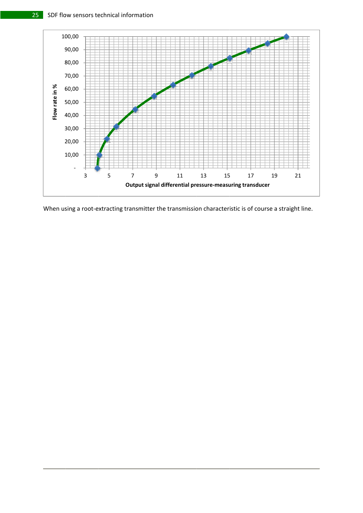

When using a root-extracting transmitter the transmission characteristic is of course a straight line.